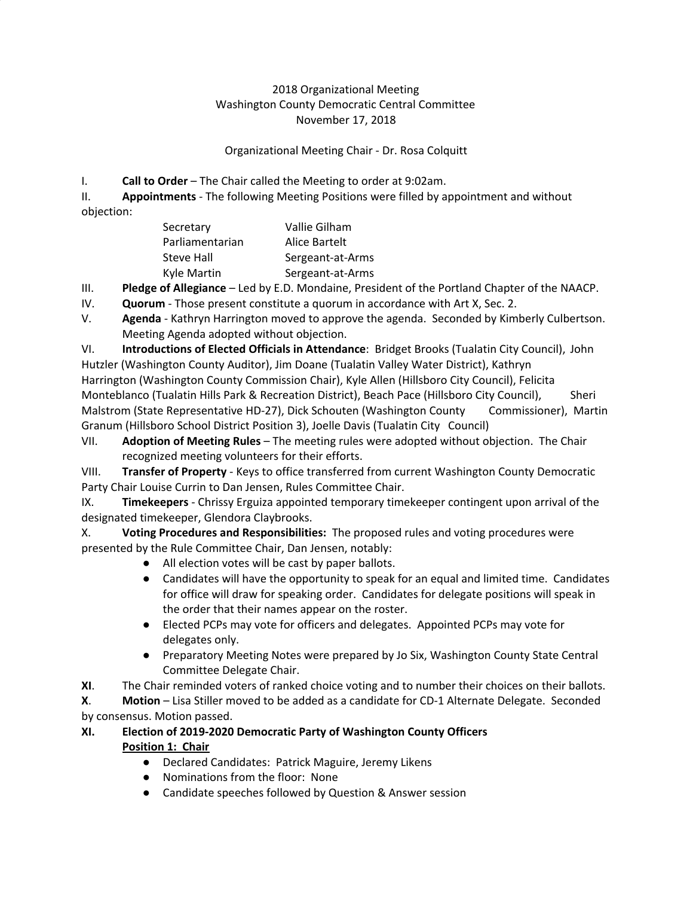## 2018 Organizational Meeting Washington County Democratic Central Committee November 17, 2018

#### Organizational Meeting Chair - Dr. Rosa Colquitt

I. **Call to Order** – The Chair called the Meeting to order at 9:02am.

II. **Appointments** - The following Meeting Positions were filled by appointment and without objection:

| Secretary         | Vallie Gilham    |
|-------------------|------------------|
| Parliamentarian   | Alice Bartelt    |
| <b>Steve Hall</b> | Sergeant-at-Arms |
| Kyle Martin       | Sergeant-at-Arms |

III. **Pledge of Allegiance** – Led by E.D. Mondaine, President of the Portland Chapter of the NAACP.

- IV. **Quorum** Those present constitute a quorum in accordance with Art X, Sec. 2.
- V. **Agenda** Kathryn Harrington moved to approve the agenda. Seconded by Kimberly Culbertson. Meeting Agenda adopted without objection.

VI. **Introductions of Elected Officials in Attendance**: Bridget Brooks (Tualatin City Council), John Hutzler (Washington County Auditor), Jim Doane (Tualatin Valley Water District), Kathryn Harrington (Washington County Commission Chair), Kyle Allen (Hillsboro City Council), Felicita Monteblanco (Tualatin Hills Park & Recreation District), Beach Pace (Hillsboro City Council), Sheri Malstrom (State Representative HD-27), Dick Schouten (Washington County Commissioner), Martin Granum (Hillsboro School District Position 3), Joelle Davis (Tualatin City Council)

VII. **Adoption of Meeting Rules** – The meeting rules were adopted without objection. The Chair recognized meeting volunteers for their efforts.

VIII. **Transfer of Property** - Keys to office transferred from current Washington County Democratic Party Chair Louise Currin to Dan Jensen, Rules Committee Chair.

IX. **Timekeepers** - Chrissy Erguiza appointed temporary timekeeper contingent upon arrival of the designated timekeeper, Glendora Claybrooks.

X. **Voting Procedures and Responsibilities:** The proposed rules and voting procedures were presented by the Rule Committee Chair, Dan Jensen, notably:

- All election votes will be cast by paper ballots.
- Candidates will have the opportunity to speak for an equal and limited time. Candidates for office will draw for speaking order. Candidates for delegate positions will speak in the order that their names appear on the roster.
- Elected PCPs may vote for officers and delegates. Appointed PCPs may vote for delegates only.
- Preparatory Meeting Notes were prepared by Jo Six, Washington County State Central Committee Delegate Chair.
- **XI**. The Chair reminded voters of ranked choice voting and to number their choices on their ballots.

**X**. **Motion** – Lisa Stiller moved to be added as a candidate for CD-1 Alternate Delegate. Seconded by consensus. Motion passed.

# **XI. Election of 2019-2020 Democratic Party of Washington County Officers Position 1: Chair**

- Declared Candidates: Patrick Maguire, Jeremy Likens
- **●** Nominations from the floor: None
- **●** Candidate speeches followed by Question & Answer session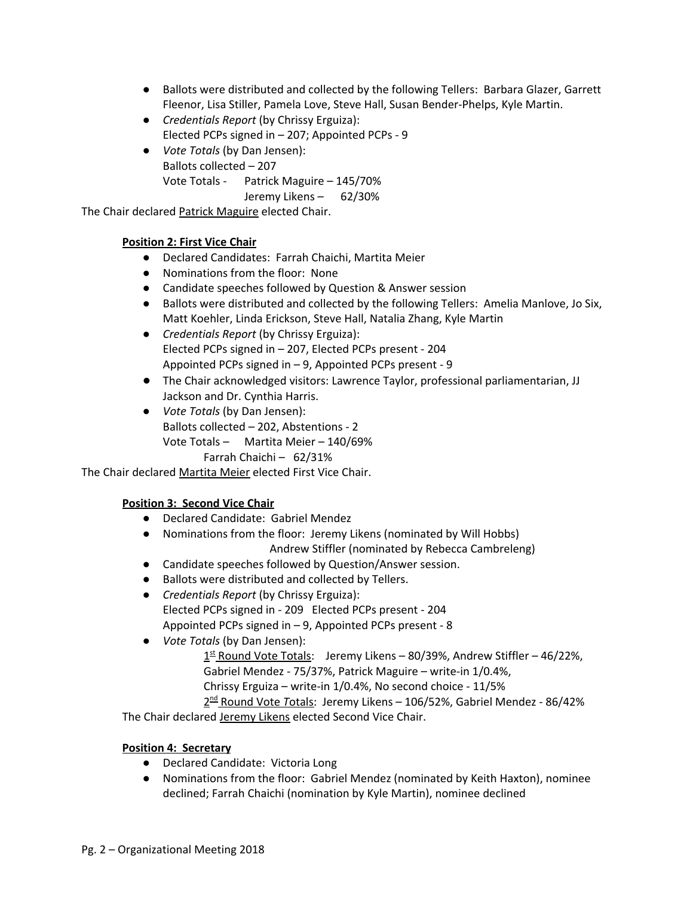- **●** Ballots were distributed and collected by the following Tellers: Barbara Glazer, Garrett Fleenor, Lisa Stiller, Pamela Love, Steve Hall, Susan Bender-Phelps, Kyle Martin.
- *Credentials Report* (by Chrissy Erguiza): Elected PCPs signed in – 207; Appointed PCPs - 9
- *Vote Totals* (by Dan Jensen): Ballots collected – 207 Vote Totals - Patrick Maguire – 145/70% Jeremy Likens – 62/30%

The Chair declared Patrick Maguire elected Chair.

## **Position 2: First Vice Chair**

- Declared Candidates: Farrah Chaichi, Martita Meier
- Nominations from the floor: None
- Candidate speeches followed by Question & Answer session
- Ballots were distributed and collected by the following Tellers: Amelia Manlove, Jo Six, Matt Koehler, Linda Erickson, Steve Hall, Natalia Zhang, Kyle Martin
- *Credentials Report* (by Chrissy Erguiza): Elected PCPs signed in – 207, Elected PCPs present - 204 Appointed PCPs signed in – 9, Appointed PCPs present - 9
- The Chair acknowledged visitors: Lawrence Taylor, professional parliamentarian, JJ Jackson and Dr. Cynthia Harris.
- *Vote Totals* (by Dan Jensen): Ballots collected – 202, Abstentions - 2 Vote Totals – Martita Meier – 140/69%

Farrah Chaichi – 62/31%

The Chair declared Martita Meier elected First Vice Chair.

## **Position 3: Second Vice Chair**

- Declared Candidate: Gabriel Mendez
- Nominations from the floor: Jeremy Likens (nominated by Will Hobbs) Andrew Stiffler (nominated by Rebecca Cambreleng)
- Candidate speeches followed by Question/Answer session.
- Ballots were distributed and collected by Tellers.
- *Credentials Report* (by Chrissy Erguiza): Elected PCPs signed in - 209 Elected PCPs present - 204 Appointed PCPs signed in – 9, Appointed PCPs present - 8
- *Vote Totals* (by Dan Jensen):
	- 1<sup>st</sup> Round Vote Totals: Jeremy Likens 80/39%, Andrew Stiffler 46/22%, Gabriel Mendez - 75/37%, Patrick Maguire – write-in 1/0.4%, Chrissy Erguiza – write-in 1/0.4%, No second choice - 11/5%

2 nd Round Vote *T*otals: Jeremy Likens – 106/52%, Gabriel Mendez - 86/42%

The Chair declared Jeremy Likens elected Second Vice Chair.

## **Position 4: Secretary**

- Declared Candidate: Victoria Long
- Nominations from the floor: Gabriel Mendez (nominated by Keith Haxton), nominee declined; Farrah Chaichi (nomination by Kyle Martin), nominee declined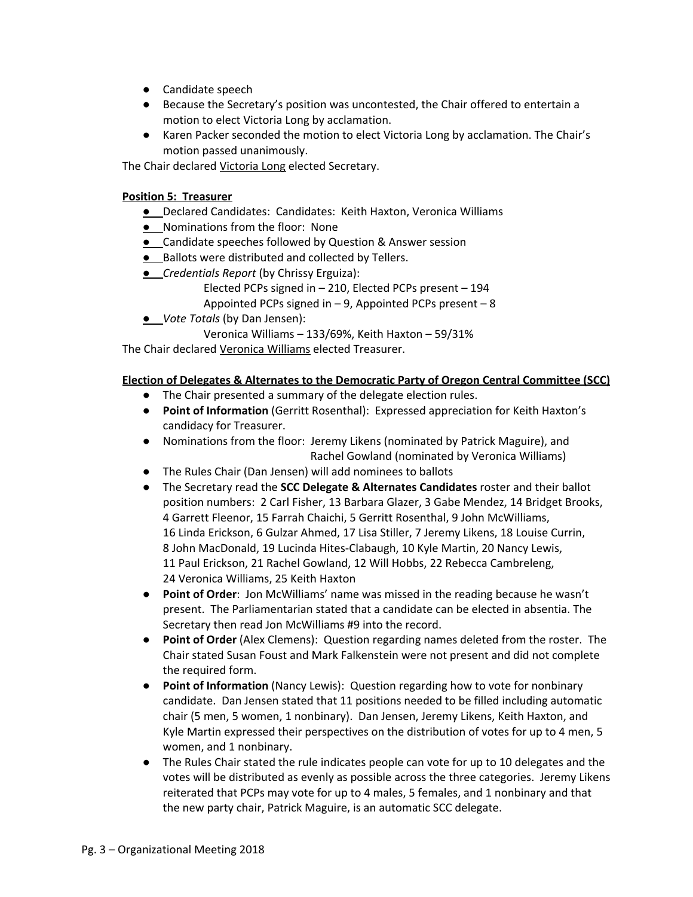- Candidate speech
- Because the Secretary's position was uncontested, the Chair offered to entertain a motion to elect Victoria Long by acclamation.
- Karen Packer seconded the motion to elect Victoria Long by acclamation. The Chair's motion passed unanimously.

The Chair declared Victoria Long elected Secretary.

#### **Position 5: Treasurer**

- **●** Declared Candidates: Candidates: Keith Haxton, Veronica Williams
- **●** Nominations from the floor: None
- **●** Candidate speeches followed by Question & Answer session
- **●** Ballots were distributed and collected by Tellers.
- **●** *Credentials Report* (by Chrissy Erguiza):
	- Elected PCPs signed in 210, Elected PCPs present 194

Appointed PCPs signed in – 9, Appointed PCPs present – 8

- **●** *Vote Totals* (by Dan Jensen):
	- Veronica Williams 133/69%, Keith Haxton 59/31%

The Chair declared Veronica Williams elected Treasurer.

#### **Election of Delegates & Alternates to the Democratic Party of Oregon Central Committee (SCC)**

- The Chair presented a summary of the delegate election rules.
- **Point of Information** (Gerritt Rosenthal): Expressed appreciation for Keith Haxton's candidacy for Treasurer.
- Nominations from the floor: Jeremy Likens (nominated by Patrick Maguire), and Rachel Gowland (nominated by Veronica Williams)
- The Rules Chair (Dan Jensen) will add nominees to ballots
- The Secretary read the **SCC Delegate & Alternates Candidates** roster and their ballot position numbers: 2 Carl Fisher, 13 Barbara Glazer, 3 Gabe Mendez, 14 Bridget Brooks, 4 Garrett Fleenor, 15 Farrah Chaichi, 5 Gerritt Rosenthal, 9 John McWilliams, 16 Linda Erickson, 6 Gulzar Ahmed, 17 Lisa Stiller, 7 Jeremy Likens, 18 Louise Currin, 8 John MacDonald, 19 Lucinda Hites-Clabaugh, 10 Kyle Martin, 20 Nancy Lewis, 11 Paul Erickson, 21 Rachel Gowland, 12 Will Hobbs, 22 Rebecca Cambreleng, 24 Veronica Williams, 25 Keith Haxton
- **Point of Order**: Jon McWilliams' name was missed in the reading because he wasn't present. The Parliamentarian stated that a candidate can be elected in absentia. The Secretary then read Jon McWilliams #9 into the record.
- **Point of Order** (Alex Clemens): Question regarding names deleted from the roster. The Chair stated Susan Foust and Mark Falkenstein were not present and did not complete the required form.
- **Point of Information** (Nancy Lewis): Question regarding how to vote for nonbinary candidate. Dan Jensen stated that 11 positions needed to be filled including automatic chair (5 men, 5 women, 1 nonbinary). Dan Jensen, Jeremy Likens, Keith Haxton, and Kyle Martin expressed their perspectives on the distribution of votes for up to 4 men, 5 women, and 1 nonbinary.
- The Rules Chair stated the rule indicates people can vote for up to 10 delegates and the votes will be distributed as evenly as possible across the three categories. Jeremy Likens reiterated that PCPs may vote for up to 4 males, 5 females, and 1 nonbinary and that the new party chair, Patrick Maguire, is an automatic SCC delegate.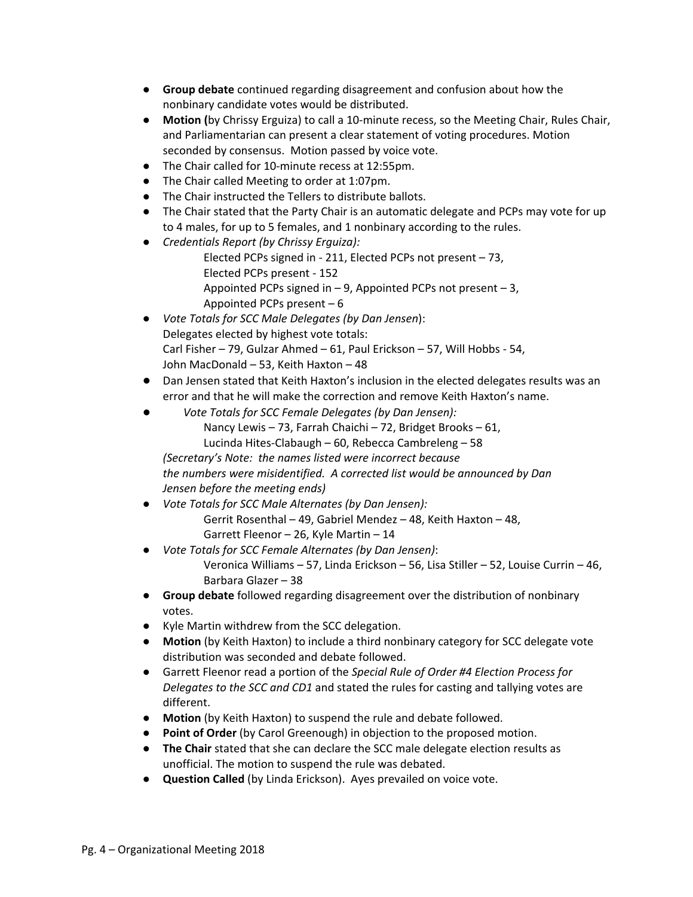- **Group debate** continued regarding disagreement and confusion about how the nonbinary candidate votes would be distributed.
- **Motion (**by Chrissy Erguiza) to call a 10-minute recess, so the Meeting Chair, Rules Chair, and Parliamentarian can present a clear statement of voting procedures. Motion seconded by consensus. Motion passed by voice vote.
- The Chair called for 10-minute recess at 12:55pm.
- The Chair called Meeting to order at 1:07pm.
- The Chair instructed the Tellers to distribute ballots.
- The Chair stated that the Party Chair is an automatic delegate and PCPs may vote for up to 4 males, for up to 5 females, and 1 nonbinary according to the rules.
- *● Credentials Report (by Chrissy Erguiza):*
	- Elected PCPs signed in 211, Elected PCPs not present 73, Elected PCPs present - 152 Appointed PCPs signed in  $-9$ , Appointed PCPs not present  $-3$ , Appointed PCPs present – 6
- *Vote Totals for SCC Male Delegates (by Dan Jensen*): Delegates elected by highest vote totals: Carl Fisher – 79, Gulzar Ahmed – 61, Paul Erickson – 57, Will Hobbs - 54, John MacDonald – 53, Keith Haxton – 48
- Dan Jensen stated that Keith Haxton's inclusion in the elected delegates results was an error and that he will make the correction and remove Keith Haxton's name.
- *Vote Totals for SCC Female Delegates (by Dan Jensen):* Nancy Lewis – 73, Farrah Chaichi – 72, Bridget Brooks – 61, Lucinda Hites-Clabaugh – 60, Rebecca Cambreleng – 58 *(Secretary's Note: the names listed were incorrect because the numbers were misidentified. A corrected list would be announced by Dan Jensen before the meeting ends)*
- *● Vote Totals for SCC Male Alternates (by Dan Jensen):* Gerrit Rosenthal – 49, Gabriel Mendez – 48, Keith Haxton – 48, Garrett Fleenor – 26, Kyle Martin – 14
- *Vote Totals for SCC Female Alternates (by Dan Jensen)*: Veronica Williams – 57, Linda Erickson – 56, Lisa Stiller – 52, Louise Currin – 46, Barbara Glazer – 38
- **Group debate** followed regarding disagreement over the distribution of nonbinary votes.
- Kyle Martin withdrew from the SCC delegation.
- **Motion** (by Keith Haxton) to include a third nonbinary category for SCC delegate vote distribution was seconded and debate followed.
- Garrett Fleenor read a portion of the *Special Rule of Order #4 Election Process for Delegates to the SCC and CD1* and stated the rules for casting and tallying votes are different.
- **Motion** (by Keith Haxton) to suspend the rule and debate followed.
- **Point of Order** (by Carol Greenough) in objection to the proposed motion.
- **The Chair** stated that she can declare the SCC male delegate election results as unofficial. The motion to suspend the rule was debated.
- **Question Called** (by Linda Erickson). Ayes prevailed on voice vote.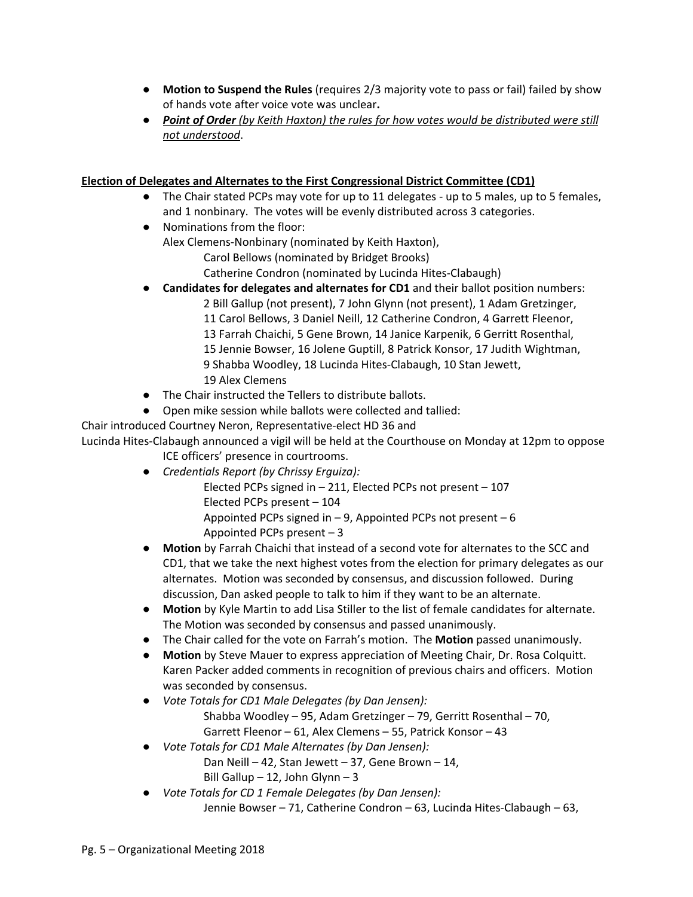- **Motion to Suspend the Rules** (requires 2/3 majority vote to pass or fail) failed by show of hands vote after voice vote was unclear**.**
- **●** *Point of Order (by Keith Haxton) the rules for how votes would be distributed were still not understood*.

## **Election of Delegates and Alternates to the First Congressional District Committee (CD1)**

- The Chair stated PCPs may vote for up to 11 delegates up to 5 males, up to 5 females, and 1 nonbinary. The votes will be evenly distributed across 3 categories.
- Nominations from the floor: Alex Clemens-Nonbinary (nominated by Keith Haxton), Carol Bellows (nominated by Bridget Brooks)
	- Catherine Condron (nominated by Lucinda Hites-Clabaugh)
- **Candidates for delegates and alternates for CD1** and their ballot position numbers: 2 Bill Gallup (not present), 7 John Glynn (not present), 1 Adam Gretzinger, 11 Carol Bellows, 3 Daniel Neill, 12 Catherine Condron, 4 Garrett Fleenor, 13 Farrah Chaichi, 5 Gene Brown, 14 Janice Karpenik, 6 Gerritt Rosenthal, 15 Jennie Bowser, 16 Jolene Guptill, 8 Patrick Konsor, 17 Judith Wightman, 9 Shabba Woodley, 18 Lucinda Hites-Clabaugh, 10 Stan Jewett, 19 Alex Clemens
- The Chair instructed the Tellers to distribute ballots.
- Open mike session while ballots were collected and tallied:

Chair introduced Courtney Neron, Representative-elect HD 36 and

Lucinda Hites-Clabaugh announced a vigil will be held at the Courthouse on Monday at 12pm to oppose ICE officers' presence in courtrooms.

- *● Credentials Report (by Chrissy Erguiza):* Elected PCPs signed in – 211, Elected PCPs not present – 107 Elected PCPs present – 104 Appointed PCPs signed in  $-9$ , Appointed PCPs not present  $-6$ Appointed PCPs present – 3
- **Motion** by Farrah Chaichi that instead of a second vote for alternates to the SCC and CD1, that we take the next highest votes from the election for primary delegates as our alternates. Motion was seconded by consensus, and discussion followed. During discussion, Dan asked people to talk to him if they want to be an alternate.
- **Motion** by Kyle Martin to add Lisa Stiller to the list of female candidates for alternate. The Motion was seconded by consensus and passed unanimously.
- The Chair called for the vote on Farrah's motion. The **Motion** passed unanimously.
- **Motion** by Steve Mauer to express appreciation of Meeting Chair, Dr. Rosa Colquitt. Karen Packer added comments in recognition of previous chairs and officers. Motion was seconded by consensus.
- *● Vote Totals for CD1 Male Delegates (by Dan Jensen):* Shabba Woodley – 95, Adam Gretzinger – 79, Gerritt Rosenthal – 70, Garrett Fleenor – 61, Alex Clemens – 55, Patrick Konsor – 43
- *● Vote Totals for CD1 Male Alternates (by Dan Jensen):*
	- Dan Neill 42, Stan Jewett 37, Gene Brown 14, Bill Gallup – 12, John Glynn – 3
- *● Vote Totals for CD 1 Female Delegates (by Dan Jensen):* Jennie Bowser – 71, Catherine Condron – 63, Lucinda Hites-Clabaugh – 63,